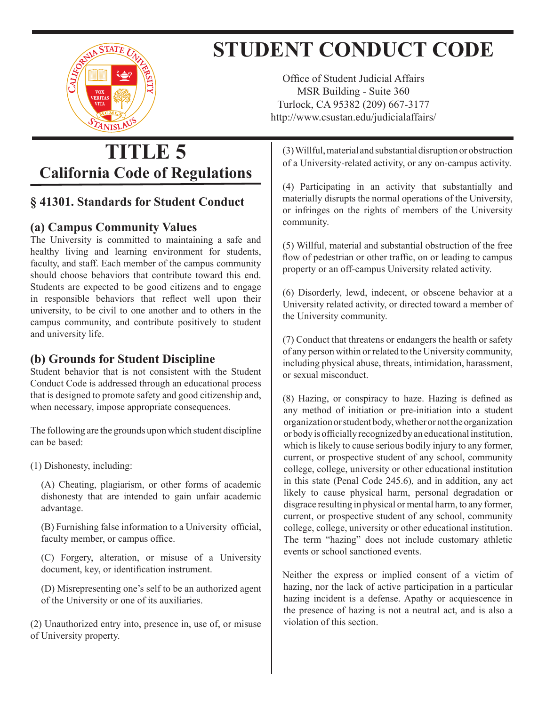

# **STUDENT CONDUCT CODE**

Office of Student Judicial Affairs MSR Building - Suite 360 Turlock, CA 95382 (209) 667-3177 http://www.csustan.edu/judicialaffairs/

## **TITLE 5 California Code of Regulations**

#### **§ 41301. Standards for Student Conduct**

#### **(a) Campus Community Values**

The University is committed to maintaining a safe and healthy living and learning environment for students, faculty, and staff. Each member of the campus community should choose behaviors that contribute toward this end. Students are expected to be good citizens and to engage in responsible behaviors that reflect well upon their university, to be civil to one another and to others in the campus community, and contribute positively to student and university life.

### **(b) Grounds for Student Discipline**

Student behavior that is not consistent with the Student Conduct Code is addressed through an educational process that is designed to promote safety and good citizenship and, when necessary, impose appropriate consequences.

The following are the grounds upon which student discipline can be based:

(1) Dishonesty, including:

(A) Cheating, plagiarism, or other forms of academic dishonesty that are intended to gain unfair academic advantage.

(B) Furnishing false information to a University official, faculty member, or campus office.

(C) Forgery, alteration, or misuse of a University document, key, or identification instrument.

(D) Misrepresenting one's self to be an authorized agent of the University or one of its auxiliaries.

(2) Unauthorized entry into, presence in, use of, or misuse of University property.

(3)Willful,material andsubstantialdisruptionorobstruction of a University-related activity, or any on-campus activity.

(4) Participating in an activity that substantially and materially disrupts the normal operations of the University, or infringes on the rights of members of the University community.

(5) Willful, material and substantial obstruction of the free flow of pedestrian or other traffic, on or leading to campus property or an off-campus University related activity.

(6) Disorderly, lewd, indecent, or obscene behavior at a University related activity, or directed toward a member of the University community.

(7) Conduct that threatens or endangers the health or safety of any person within orrelated to the University community, including physical abuse, threats, intimidation, harassment, or sexual misconduct.

(8) Hazing, or conspiracy to haze. Hazing is defined as any method of initiation or pre-initiation into a student organizationorstudentbody,whetherornottheorganization or body is officially recognized by an educational institution, which is likely to cause serious bodily injury to any former, current, or prospective student of any school, community college, college, university or other educational institution in this state (Penal Code 245.6), and in addition, any act likely to cause physical harm, personal degradation or disgrace resulting in physical or mental harm, to any former, current, or prospective student of any school, community college, college, university or other educational institution. The term "hazing" does not include customary athletic events or school sanctioned events.

Neither the express or implied consent of a victim of hazing, nor the lack of active participation in a particular hazing incident is a defense. Apathy or acquiescence in the presence of hazing is not a neutral act, and is also a violation of this section.